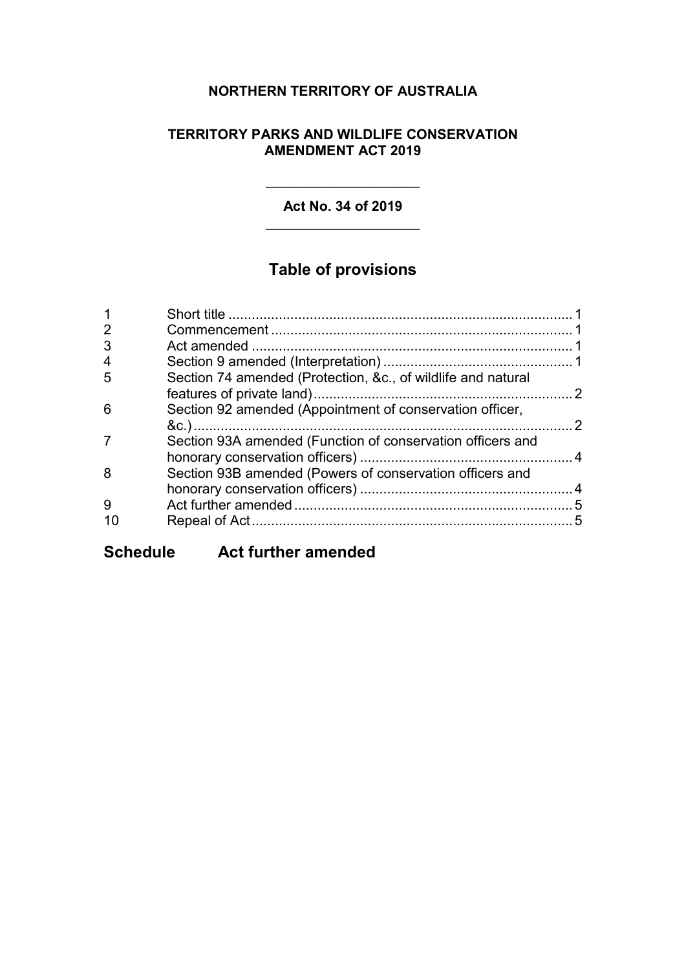# **NORTHERN TERRITORY OF AUSTRALIA**

#### **TERRITORY PARKS AND WILDLIFE CONSERVATION AMENDMENT ACT 2019**

#### **Act No. 34 of 2019**  $\overline{\phantom{a}}$  , where  $\overline{\phantom{a}}$  , where  $\overline{\phantom{a}}$  , where  $\overline{\phantom{a}}$

\_\_\_\_\_\_\_\_\_\_\_\_\_\_\_\_\_\_\_\_

# **Table of provisions**

| 2 |                                                              |     |
|---|--------------------------------------------------------------|-----|
| 3 |                                                              |     |
| 4 |                                                              |     |
| 5 | Section 74 amended (Protection, &c., of wildlife and natural |     |
| 6 | Section 92 amended (Appointment of conservation officer,     | - 2 |
|   | Section 93A amended (Function of conservation officers and   |     |
| 8 | Section 93B amended (Powers of conservation officers and     |     |
| 9 |                                                              |     |
|   |                                                              |     |
|   |                                                              |     |

**Schedule Act further amended**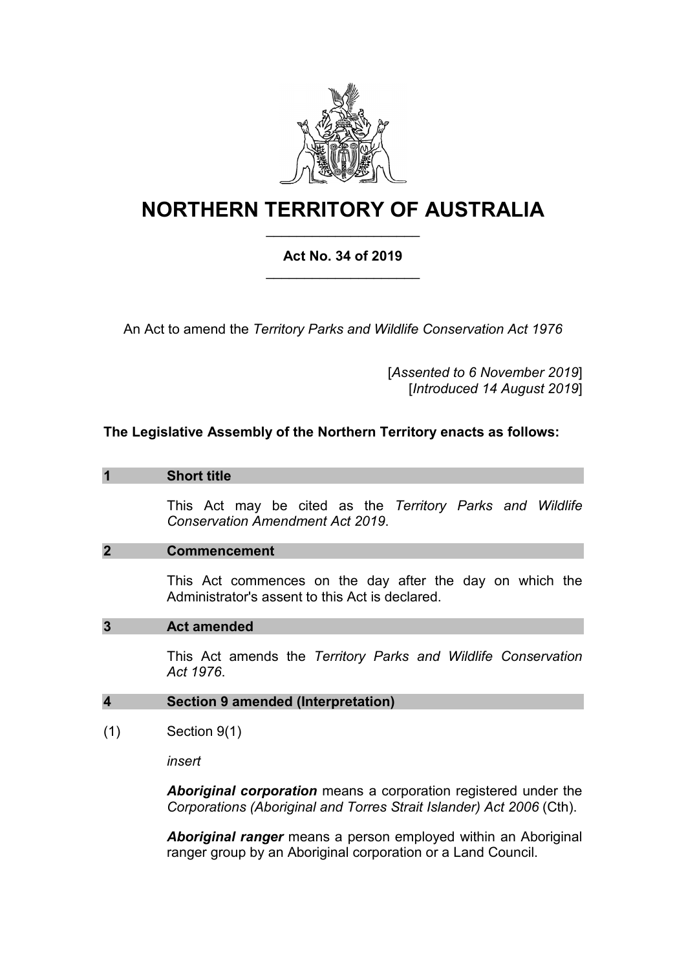

# **NORTHERN TERRITORY OF AUSTRALIA**

# **Act No. 34 of 2019** \_\_\_\_\_\_\_\_\_\_\_\_\_\_\_\_\_\_\_\_

\_\_\_\_\_\_\_\_\_\_\_\_\_\_\_\_\_\_\_\_

An Act to amend the *Territory Parks and Wildlife Conservation Act 1976*

[*Assented to 6 November 2019*] [*Introduced 14 August 2019*]

#### **The Legislative Assembly of the Northern Territory enacts as follows:**

#### **1 Short title**

This Act may be cited as the *Territory Parks and Wildlife Conservation Amendment Act 2019*.

#### **2 Commencement**

This Act commences on the day after the day on which the Administrator's assent to this Act is declared.

#### **3 Act amended**

This Act amends the *Territory Parks and Wildlife Conservation Act 1976*.

#### **4 Section 9 amended (Interpretation)**

(1) Section 9(1)

*insert*

*Aboriginal corporation* means a corporation registered under the *Corporations (Aboriginal and Torres Strait Islander) Act 2006* (Cth).

*Aboriginal ranger* means a person employed within an Aboriginal ranger group by an Aboriginal corporation or a Land Council.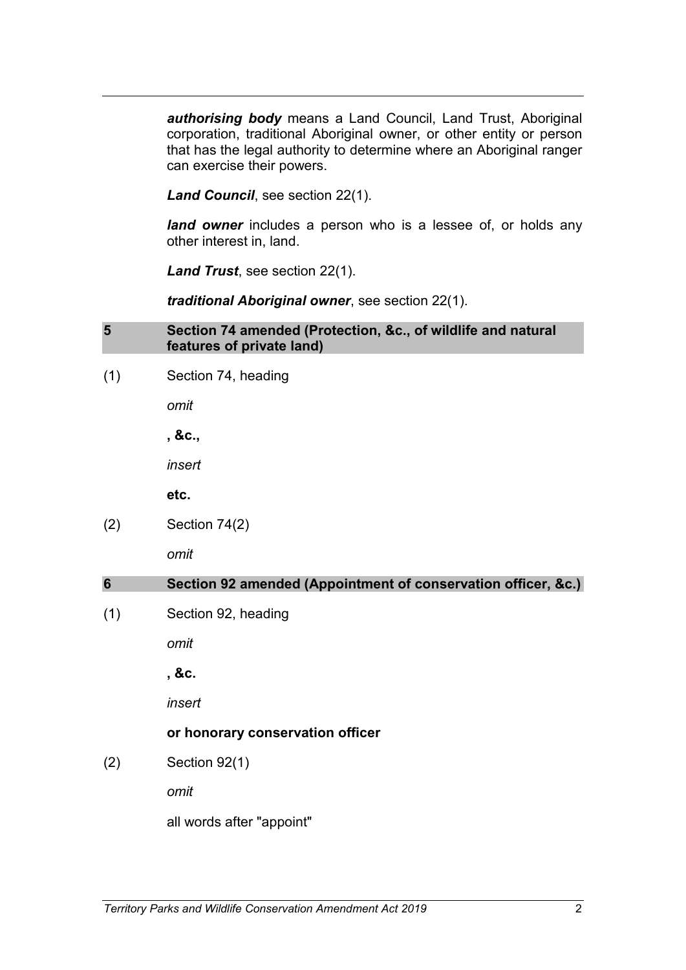*authorising body* means a Land Council, Land Trust, Aboriginal corporation, traditional Aboriginal owner, or other entity or person that has the legal authority to determine where an Aboriginal ranger can exercise their powers.

*Land Council*, see section 22(1).

land owner includes a person who is a lessee of, or holds any other interest in, land.

*Land Trust*, see section 22(1).

*traditional Aboriginal owner*, see section 22(1).

#### **5 Section 74 amended (Protection, &c., of wildlife and natural features of private land)**

(1) Section 74, heading

*omit*

**, &c.,**

*insert*

**etc.**

(2) Section 74(2)

*omit*

## **6 Section 92 amended (Appointment of conservation officer, &c.)**

(1) Section 92, heading

*omit*

**, &c.**

*insert*

## **or honorary conservation officer**

(2) Section 92(1)

*omit*

all words after "appoint"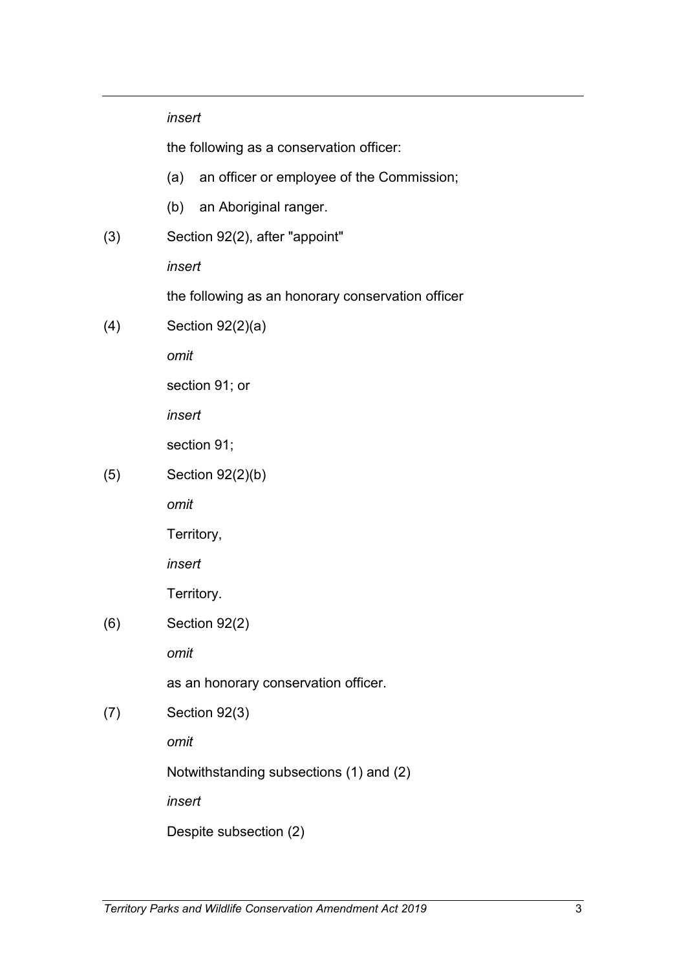|     | insert                                            |
|-----|---------------------------------------------------|
|     | the following as a conservation officer:          |
|     | (a) an officer or employee of the Commission;     |
|     | (b) an Aboriginal ranger.                         |
| (3) | Section 92(2), after "appoint"                    |
|     | insert                                            |
|     | the following as an honorary conservation officer |
| (4) | Section $92(2)(a)$                                |
|     | omit                                              |
|     | section 91; or                                    |
|     | insert                                            |
|     | section 91;                                       |
| (5) | Section $92(2)(b)$                                |
|     | omit                                              |
|     | Territory,                                        |
|     | insert                                            |
|     | Territory.                                        |
| (6) | Section 92(2)                                     |
|     | omit                                              |
|     | as an honorary conservation officer.              |
| (7) | Section 92(3)                                     |
|     | omit                                              |
|     | Notwithstanding subsections (1) and (2)           |
|     | insert                                            |
|     | Despite subsection (2)                            |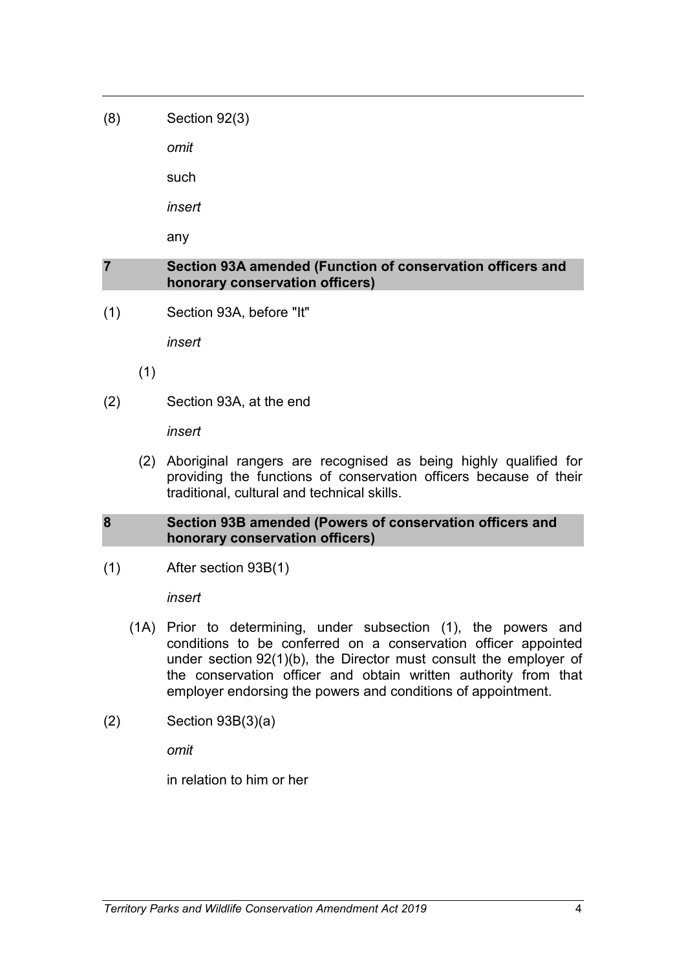(8) Section 92(3)

*omit*

such

*insert*

any

#### **7 Section 93A amended (Function of conservation officers and honorary conservation officers)**

(1) Section 93A, before "It"

*insert*

- (1)
- (2) Section 93A, at the end

*insert*

(2) Aboriginal rangers are recognised as being highly qualified for providing the functions of conservation officers because of their traditional, cultural and technical skills.

## **8 Section 93B amended (Powers of conservation officers and honorary conservation officers)**

(1) After section 93B(1)

*insert*

- (1A) Prior to determining, under subsection (1), the powers and conditions to be conferred on a conservation officer appointed under section 92(1)(b), the Director must consult the employer of the conservation officer and obtain written authority from that employer endorsing the powers and conditions of appointment.
- (2) Section 93B(3)(a)

*omit*

in relation to him or her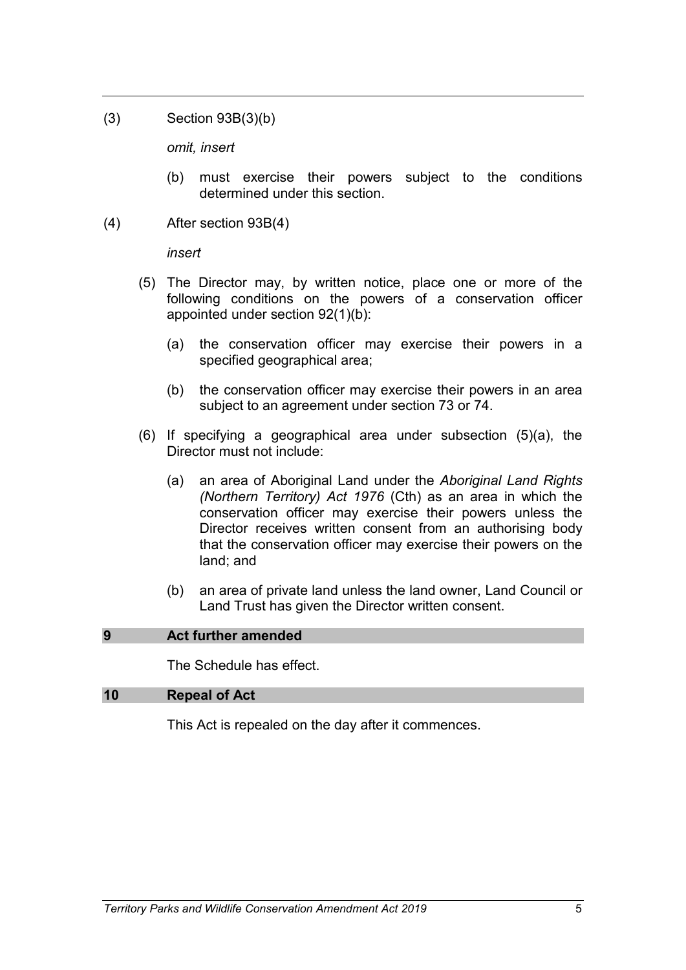(3) Section 93B(3)(b)

*omit, insert*

- (b) must exercise their powers subject to the conditions determined under this section.
- (4) After section 93B(4)

*insert*

- (5) The Director may, by written notice, place one or more of the following conditions on the powers of a conservation officer appointed under section 92(1)(b):
	- (a) the conservation officer may exercise their powers in a specified geographical area;
	- (b) the conservation officer may exercise their powers in an area subject to an agreement under section 73 or 74.
- (6) If specifying a geographical area under subsection (5)(a), the Director must not include:
	- (a) an area of Aboriginal Land under the *Aboriginal Land Rights (Northern Territory) Act 1976* (Cth) as an area in which the conservation officer may exercise their powers unless the Director receives written consent from an authorising body that the conservation officer may exercise their powers on the land; and
	- (b) an area of private land unless the land owner, Land Council or Land Trust has given the Director written consent.

#### <span id="page-6-0"></span>**9 Act further amended**

The Schedule has effect.

#### **10 Repeal of Act**

This Act is repealed on the day after it commences.